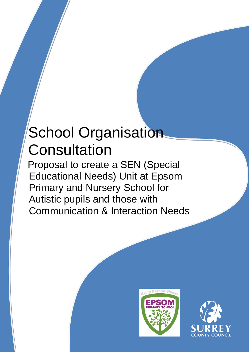# School Organisation **Consultation**

Proposal to create a SEN (Special Educational Needs) Unit at Epsom Primary and Nursery School for Autistic pupils and those with Communication & Interaction Needs



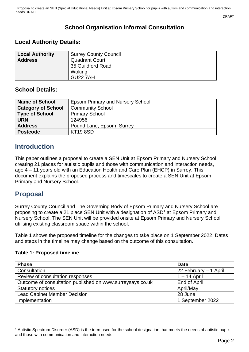DRAFT

# **School Organisation Informal Consultation**

#### **Local Authority Details:**

| <b>Local Authority</b> | <b>Surrey County Council</b> |
|------------------------|------------------------------|
| <b>Address</b>         | <b>Quadrant Court</b>        |
|                        | 35 Guildford Road            |
|                        | Woking                       |
|                        | <b>GU22 7AH</b>              |

#### **School Details:**

| <b>Name of School</b>     | <b>Epsom Primary and Nursery School</b> |  |  |  |  |  |
|---------------------------|-----------------------------------------|--|--|--|--|--|
| <b>Category of School</b> | <b>Community School</b>                 |  |  |  |  |  |
| <b>Type of School</b>     | <b>Primary School</b>                   |  |  |  |  |  |
| <b>URN</b>                | 124956                                  |  |  |  |  |  |
| <b>Address</b>            | Pound Lane, Epsom, Surrey               |  |  |  |  |  |
| <b>Postcode</b>           | <b>KT19 8SD</b>                         |  |  |  |  |  |

## **Introduction**

This paper outlines a proposal to create a SEN Unit at Epsom Primary and Nursery School, creating 21 places for autistic pupils and those with communication and interaction needs, age 4 – 11 years old with an Education Health and Care Plan (EHCP) in Surrey. This document explains the proposed process and timescales to create a SEN Unit at Epsom Primary and Nursery School.

## **Proposal**

Surrey County Council and The Governing Body of Epsom Primary and Nursery School are proposing to create a 21 place SEN Unit with a designation of ASD<sup>1</sup> at Epsom Primary and Nursery School. The SEN Unit will be provided onsite at Epsom Primary and Nursery School utilising existing classroom space within the school.

Table 1 shows the proposed timeline for the changes to take place on 1 September 2022. Dates and steps in the timeline may change based on the outcome of this consultation.

#### **Table 1: Proposed timeline**

| <b>Phase</b>                                              | <b>Date</b>           |
|-----------------------------------------------------------|-----------------------|
| Consultation                                              | 22 February - 1 April |
| Review of consultation responses                          | $1 - 14$ April        |
| Outcome of consultation published on www.surreysays.co.uk | End of April          |
| <b>Statutory notices</b>                                  | April/May             |
| <b>Lead Cabinet Member Decision</b>                       | 28 June               |
| Implementation                                            | 1 September 2022      |

<sup>1</sup> Autistic Spectrum Disorder (ASD) is the term used for the school designation that meets the needs of autistic pupils and those with communication and interaction needs.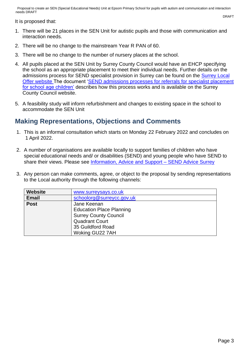Proposal to create an SEN (Special Educational Needs) Unit at Epsom Primary School for pupils with autism and communication and interaction needs DRAFT

It is proposed that:

- 1. There will be 21 places in the SEN Unit for autistic pupils and those with communication and interaction needs.
- 2. There will be no change to the mainstream Year R PAN of 60.
- 3. There will be no change to the number of nursery places at the school.
- 4. All pupils placed at the SEN Unit by Surrey County Council would have an EHCP specifying the school as an appropriate placement to meet their individual needs. Further details on the admissions process for SEND specialist provision in Surrey can be found on the [Surrey Local](https://www.surreylocaloffer.org.uk/kb5/surrey/localoffer/advice.page?id=9TS_tpdTXU0)  [Offer website](https://www.surreylocaloffer.org.uk/kb5/surrey/localoffer/advice.page?id=9TS_tpdTXU0) The document ['SEND admissions processes for referrals for specialist placement](https://www.surreycc.gov.uk/__data/assets/pdf_file/0011/238934/Final-Pre-16-SEND-Admissions-Guidance_v2.0-002-1-accessible.pdf)  [for school age children'](https://www.surreycc.gov.uk/__data/assets/pdf_file/0011/238934/Final-Pre-16-SEND-Admissions-Guidance_v2.0-002-1-accessible.pdf) describes how this process works and is available on the Surrey County Council website.
- 5. A feasibility study will inform refurbishment and changes to existing space in the school to accommodate the SEN Unit

## **Making Representations, Objections and Comments**

- 1. This is an informal consultation which starts on Monday 22 February 2022 and concludes on 1 April 2022.
- 2. A number of organisations are available locally to support families of children who have special educational needs and/ or disabilities (SEND) and young people who have SEND to share their views. Please see Information, Advice and Support - SEND Advice Surrey
- 3. Any person can make comments, agree, or object to the proposal by sending representations to the Local authority through the following channels:

| <b>Website</b> | www.surreysays.co.uk            |  |  |  |  |  |  |  |
|----------------|---------------------------------|--|--|--|--|--|--|--|
| <b>Email</b>   | schoolorg@surreycc.gov.uk       |  |  |  |  |  |  |  |
| <b>Post</b>    | Jane Keenan                     |  |  |  |  |  |  |  |
|                | <b>Education Place Planning</b> |  |  |  |  |  |  |  |
|                | <b>Surrey County Council</b>    |  |  |  |  |  |  |  |
|                | <b>Quadrant Court</b>           |  |  |  |  |  |  |  |
|                | 35 Guildford Road               |  |  |  |  |  |  |  |
|                | Woking GU22 7AH                 |  |  |  |  |  |  |  |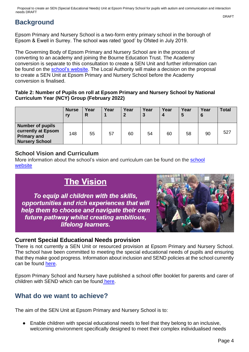# **Background**

Epsom Primary and Nursery School is a two-form entry primary school in the borough of Epsom & Ewell in Surrey. The school was rated 'good' by Ofsted in July 2019.

The Governing Body of Epsom Primary and Nursery School are in the process of converting to an academy and joining the Bourne Education Trust. The Academy conversion is separate to this consultation to create a SEN Unit and further information can be found on the [school's website.](https://www.epsomprimaryschool.co.uk/_files/ugd/afe9a3_d770300141b2456bb40bc553724aa74a.pdf) The Local Authority will make a decision on the proposal to create a SEN Unit at Epsom Primary and Nursery School before the Academy conversion is finalised.

#### **Table 2: Number of Pupils on roll at Epsom Primary and Nursery School by National Curriculum Year (NCY) Group (February 2022)**

|                                                                                              | <b>Nurse</b><br>rv | Year<br>R | Year | Year<br>$\mathbf{2}$ | Year<br>$\mathbf{3}$ | Year<br>$\boldsymbol{4}$ | Year<br>5 | Year<br>6 | <b>Total</b> |
|----------------------------------------------------------------------------------------------|--------------------|-----------|------|----------------------|----------------------|--------------------------|-----------|-----------|--------------|
| <b>Number of pupils</b><br>currently at Epsom<br><b>Primary and</b><br><b>Nursery School</b> | 148                | 55        | 57   | 60                   | 54                   | 60                       | 58        | 90        | 527          |

#### **School Vision and Curriculum**

More information about the school's vision and curriculum can be found on the [school](https://www.epsomprimaryschool.co.uk/curriculum-intent-and-vision)  [website](https://www.epsomprimaryschool.co.uk/curriculum-intent-and-vision)

# **The Vision**

To equip all children with the skills, opportunities and rich experiences that will help them to choose and navigate their own future pathway whilst creating ambitious, lifelong learners.



#### **Current Special Educational Needs provision**

There is not currently a SEN Unit or resourced provision at Epsom Primary and Nursery School. The school have been committed to meeting the special educational needs of pupils and ensuring that they make good progress. Information about inclusion and SEND policies at the school currently can be found [here.](https://www.epsomprimaryschool.co.uk/inclusion-special-educational-needs)

Epsom Primary School and Nursery have published a school offer booklet for parents and carer of children with SEND which can be found [here.](https://www.epsomprimaryschool.co.uk/_files/ugd/afe9a3_a30796f257d143f7aee454e724b6da02.pdf)

## **What do we want to achieve?**

The aim of the SEN Unit at Epsom Primary and Nursery School is to:

Enable children with special educational needs to feel that they belong to an inclusive, welcoming environment specifically designed to meet their complex individualised needs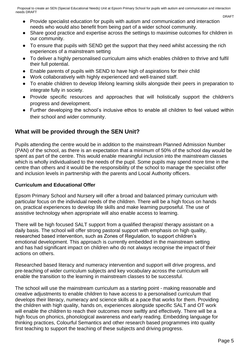Proposal to create an SEN (Special Educational Needs) Unit at Epsom Primary School for pupils with autism and communication and interaction needs DRAFT

- Provide specialist education for pupils with autism and communication and interaction needs who would also benefit from being part of a wider school community.
- Share good practice and expertise across the settings to maximise outcomes for children in our community.
- To ensure that pupils with SEND get the support that they need whilst accessing the rich experiences of a mainstream setting
- To deliver a highly personalised curriculum aims which enables children to thrive and fulfil their full potential.
- Enable parents of pupils with SEND to have high of aspirations for their child
- Work collaboratively with highly experienced and well-trained staff.
- To enable children to develop lifelong learning skills alongside their peers in preparation to integrate fully in society.
- Provide specific resources and approaches that will holistically support the children's progress and development.
- Further developing the school's inclusive ethos to enable all children to feel valued within their school and wider community.

#### **What will be provided through the SEN Unit?**

Pupils attending the centre would be in addition to the mainstream Planned Admission Number (PAN) of the school, as there is an expectation that a minimum of 50% of the school day would be spent as part of the centre. This would enable meaningful inclusion into the mainstream classes which is wholly individualised to the needs of the pupil. Some pupils may spend more time in the centre than others and it would be the responsibility of the school to manage the specialist offer and inclusion levels in partnership with the parents and Local Authority officers.

#### **Curriculum and Educational Offer**

Epsom Primary School and Nursery will offer a broad and balanced primary curriculum with particular focus on the individual needs of the children. There will be a high focus on hands on, practical experiences to develop life skills and make learning purposeful. The use of assistive technology when appropriate will also enable access to learning.

There will be high focused SALT support from a qualified therapist/ therapy assistant on a daily basis. The school will offer strong pastoral support with emphasis on high quality, researched based intervention, such as Zones of Regulation, to support children's emotional development. This approach is currently embedded in the mainstream setting and has had significant impact on children who do not always recognise the impact of their actions on others.

Researched based literacy and numeracy intervention and support will drive progress, and pre-teaching of wider curriculum subjects and key vocabulary across the curriculum will enable the transition to the learning in mainstream classes to be successful.

The school will use the mainstream curriculum as a starting point - making reasonable and creative adjustments to enable children to have access to a personalised curriculum that develops their literacy, numeracy and science skills at a pace that works for them. Providing the children with high quality, hands on, experiences alongside specific SALT and OT work will enable the children to reach their outcomes more swiftly and effectively. There will be a high focus on phonics, phonological awareness and early reading. Embedding language for thinking practices, Colourful Semantics and other research based programmes into quality first teaching to support the teaching of these subjects and driving progress.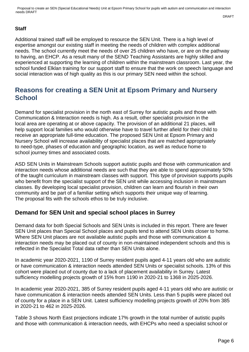Proposal to create an SEN (Special Educational Needs) Unit at Epsom Primary School for pupils with autism and communication and interaction needs DRAFT DRAFT

#### **Staff**

Additional trained staff will be employed to resource the SEN Unit. There is a high level of expertise amongst our existing staff in meeting the needs of children with complex additional needs. The school currently meet the needs of over 25 children who have, or are on the pathway to having, an EHCP. As a result many of the SEND Teaching Assistants are highly skilled and experienced at supporting the learning of children within the mainstream classroom. Last year, the school funded Elklan training for our support staff to ensure that the work on speech language and social interaction was of high quality as this is our primary SEN need within the school.

## **Reasons for creating a SEN Unit at Epsom Primary and Nursery School**

Demand for specialist provision in the north east of Surrey for autistic pupils and those with Communication & Interaction needs is high. As a result, other specialist provision in the local area are operating at or above capacity. The provision of an additional 21 places, will help support local families who would otherwise have to travel further afield for their child to receive an appropriate full-time education. The proposed SEN Unit at Epsom Primary and Nursery School will increase availability of specialist places that are matched appropriately to need-type, phases of education and geographic location, as well as reduce home to school journey times and associated costs.

ASD SEN Units in Mainstream Schools support autistic pupils and those with communication and interaction needs whose additional needs are such that they are able to spend approximately 50% of the taught curriculum in mainstream classes with support. This type of provision supports pupils who benefit from the specialist support of the SEN unit while accessing inclusion in mainstream classes. By developing local specialist provision, children can learn and flourish in their own community and be part of a familiar setting which supports their unique way of learning. The proposal fits with the schools ethos to be truly inclusive.

#### **Demand for SEN Unit and special school places in Surrey**

Demand data for both Special Schools and SEN Units is included in this report. There are fewer SEN Unit places than Special School places and pupils tend to attend SEN Units closer to home. Where SEN Unit places are not available autistic pupils and those with communication & interaction needs may be placed out of county in non-maintained independent schools and this is reflected in the Specialist Total data rather than SEN Units alone.

In academic year 2020-2021, 1190 of Surrey resident pupils aged 4-11 years old who are autistic or have communication & interaction needs attended SEN Units or specialist schools. 13% of this cohort were placed out of county due to a lack of placement availability in Surrey. Latest sufficiency modelling projects growth of 15% from 1190 in 2020-21 to 1368 in 2025-2026.

In academic year 2020-2021, 385 of Surrey resident pupils aged 4-11 years old who are autistic or have communication & interaction needs attended SEN Units. Less than 5 pupils were placed out of county for a place in a SEN Unit. Latest sufficiency modelling projects growth of 20% from 385 in 2020-21 to 462 in 2025-2026.

Table 3 shows North East projections indicate 17% growth in the total number of autistic pupils and those with communication & interaction needs, with EHCPs who need a specialist school or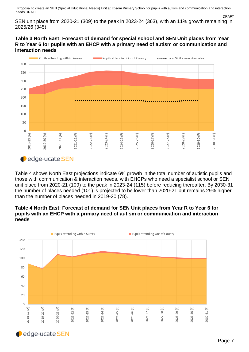Proposal to create an SEN (Special Educational Needs) Unit at Epsom Primary School for pupils with autism and communication and interaction needs DRAFT DRAFT

SEN unit place from 2020-21 (309) to the peak in 2023-24 (363), with an 11% growth remaining in 2025/26 (345).

#### **Table 3 North East: Forecast of demand for special school and SEN Unit places from Year R to Year 6 for pupils with an EHCP with a primary need of autism or communication and interaction needs**



Table 4 shows North East projections indicate 6% growth in the total number of autistic pupils and those with communication & interaction needs, with EHCPs who need a specialist school or SEN unit place from 2020-21 (109) to the peak in 2023-24 (115) before reducing thereafter. By 2030-31 the number of places needed (101) is projected to be lower than 2020-21 but remains 29% higher than the number of places needed in 2019-20 (78).

#### **Table 4 North East: Forecast of demand for SEN Unit places from Year R to Year 6 for pupils with an EHCP with a primary need of autism or communication and interaction needs**



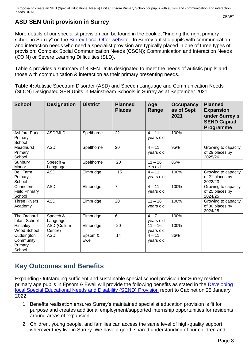## **ASD SEN Unit provision in Surrey**

More details of our specialist provision can be found in the booklet "Finding the right primary school in Surrey" on the [Surrey Local Offer website.](https://www.surreylocaloffer.org.uk/kb5/surrey/localoffer/advice.page?id=9TS_tpdTXU0) In Surrey autistic pupils with communication and interaction needs who need a specialist provision are typically placed in one of three types of provision: Complex Social Communication Needs (CSCN); Communication and Interaction Needs (COIN) or Severe Learning Difficulties (SLD).

Table 4 provides a summary of 8 SEN Units designated to meet the needs of autistic pupils and those with communication & interaction as their primary presenting needs.

**Table 4:** Autistic Spectrum Disorder (ASD) and Speech Language and Communication Needs (SLCN) Designated SEN Units in Mainstream Schools in Surrey as at September 2021

| <b>School</b>                                | <b>Designation</b>     | <b>District</b>  | <b>Planned</b><br><b>Places</b> | Age<br>Range           | <b>Occupancy</b><br>as of Sept<br>2021 | <b>Planned</b><br><b>Expansion</b><br>under Surrey's<br><b>SEND Capital</b><br>Programme |
|----------------------------------------------|------------------------|------------------|---------------------------------|------------------------|----------------------------------------|------------------------------------------------------------------------------------------|
| <b>Ashford Park</b><br>Primary<br>School     | ASD/MLD                | Spelthorne       | 22                              | $4 - 11$<br>years old  | 100%                                   |                                                                                          |
| Meadhurst<br>Primary<br>School               | <b>ASD</b>             | Spelthorne       | 20                              | $4 - 11$<br>years old  | 95%                                    | Growing to capacity<br>of 29 places by<br>2025/26                                        |
| Sunbury<br>Manor                             | Speech &<br>Language   | Spelthorne       | 20                              | $11 - 16$<br>Yrs old   | 85%                                    |                                                                                          |
| <b>Bell Farm</b><br>Primary<br>School        | <b>ASD</b>             | Elmbridge        | 15                              | $4 - 11$<br>years old  | 100%                                   | Growing to capacity<br>of 21 places by<br>2022/23                                        |
| Chandlers<br><b>Field Primary</b><br>School  | <b>ASD</b>             | Elmbridge        | $\overline{7}$                  | $4 - 11$<br>years old  | 100%                                   | Growing to capacity<br>of 25 places by<br>2024/25                                        |
| <b>Three Rivers</b><br>Academy               | <b>ASD</b>             | Elmbridge        | 20                              | $11 - 16$<br>years old | 100%                                   | Growing to capacity<br>of 30 places by<br>2024/25                                        |
| The Orchard<br>Infant School                 | Speech &<br>Language   | Elmbridge        | 6                               | $4 - 7$<br>years old   | 100%                                   |                                                                                          |
| Hinchley<br>Wood School                      | ASD (Cullum<br>Centre) | Elmbridge        | 20                              | $11 - 16$<br>years old | 100%                                   |                                                                                          |
| Cuddington<br>Community<br>Primary<br>School | <b>ASD</b>             | Epsom &<br>Ewell | 14                              | $4 - 11$<br>years old  | 86%                                    |                                                                                          |

# **Key Outcomes and Benefits**

Expanding Outstanding sufficient and sustainable special school provision for Surrey resident primary age pupils in Epsom & Ewell will provide the following benefits as stated in the [Developing](https://mycouncil.surreycc.gov.uk/documents/s83813/Phase%204%20Developing%20local%20SEND%20Provision%20in%20Surrey%20to%20meet%20demand%20in%20202324%20onwards-%20final%20report.pdf)  [local Special Educational Needs and Disability \(SEND\) Provision](https://mycouncil.surreycc.gov.uk/documents/s83813/Phase%204%20Developing%20local%20SEND%20Provision%20in%20Surrey%20to%20meet%20demand%20in%20202324%20onwards-%20final%20report.pdf) report to Cabinet on 25 January 2022:

- 1. Benefits realisation ensures Surrey's maintained specialist education provision is fit for purpose and creates additional employment/supported internship opportunities for residents around areas of expansion.
- 2. Children, young people, and families can access the same level of high-quality support wherever they live in Surrey. We have a good, shared understanding of our children and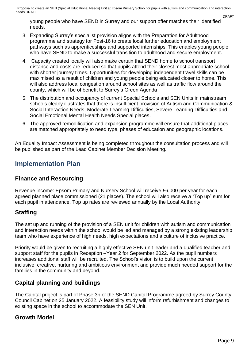Proposal to create an SEN (Special Educational Needs) Unit at Epsom Primary School for pupils with autism and communication and interaction needs DRAFT

young people who have SEND in Surrey and our support offer matches their identified needs.

- 3. Expanding Surrey's specialist provision aligns with the Preparation for Adulthood programme and strategy for Post-16 to create local further education and employment pathways such as apprenticeships and supported internships. This enables young people who have SEND to make a successful transition to adulthood and secure employment.
- 4. Capacity created locally will also make certain that SEND home to school transport distance and costs are reduced so that pupils attend their closest most appropriate school with shorter journey times. Opportunities for developing independent travel skills can be maximised as a result of children and young people being educated closer to home. This will also address local congestion around school sites as well as traffic flow around the county, which will be of benefit to Surrey's Green Agenda
- 5. The distribution and occupancy of current Special Schools and SEN Units in mainstream schools clearly illustrates that there is insufficient provision of Autism and Communication & Social Interaction Needs, Moderate Learning Difficulties, Severe Learning Difficulties and Social Emotional Mental Health Needs Special places.
- 6. The approved remodification and expansion programme will ensure that additional places are matched appropriately to need type, phases of education and geographic locations.

An Equality Impact Assessment is being completed throughout the consultation process and will be published as part of the Lead Cabinet Member Decision Meeting.

## **Implementation Plan**

#### **Finance and Resourcing**

Revenue income: Epsom Primary and Nursery School will receive £6,000 per year for each agreed planned place commissioned (21 places). The school will also receive a "Top up" sum for each pupil in attendance. Top up rates are reviewed annually by the Local Authority.

#### **Staffing**

The set up and running of the provision of a SEN unit for children with autism and communication and interaction needs within the school would be led and managed by a strong existing leadership team who have experience of high needs, high expectations and a culture of inclusive practice.

Priority would be given to recruiting a highly effective SEN unit leader and a qualified teacher and support staff for the pupils in Reception –Year 2 for September 2022. As the pupil numbers increases additional staff will be recruited. The School's vision is to build upon the current inclusive, creative, nurturing and ambitious environment and provide much needed support for the families in the community and beyond.

#### **Capital planning and buildings**

The Capital project is part of Phase 3b of the SEND Capital Programme agreed by Surrey County Council Cabinet on 25 January 2022. A feasibility study will inform refurbishment and changes to existing space in the school to accommodate the SEN Unit.

#### **Growth Model**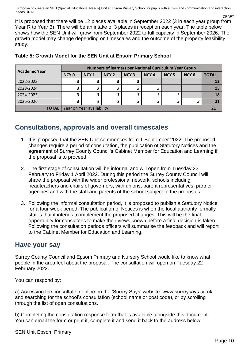Proposal to create an SEN (Special Educational Needs) Unit at Epsom Primary School for pupils with autism and communication and interaction needs DRAFT DRAFT

It is proposed that there will be 12 places available in September 2022 (3 in each year group from Year R to Year 3). There will be an intake of 3 places in reception each year. The table below shows how the SEN Unit will grow from September 2022 to full capacity in September 2026. The growth model may change depending on timescales and the outcome of the property feasibility study.

|                      | Numbers of learners per National Curriculum Year Group |                  |                  |                  |                  |                  |                  |              |  |
|----------------------|--------------------------------------------------------|------------------|------------------|------------------|------------------|------------------|------------------|--------------|--|
| <b>Academic Year</b> | NCY <sub>0</sub>                                       | NCY <sub>1</sub> | NCY <sub>2</sub> | NCY <sub>3</sub> | NCY <sub>4</sub> | NCY <sub>5</sub> | NCY <sub>6</sub> | <b>TOTAL</b> |  |
| 2022-2023            |                                                        | 3                | $\mathbf{r}$     | э                |                  |                  |                  | <b>12</b>    |  |
| 2023-2024            |                                                        | 3                | っ                |                  |                  |                  |                  | <b>15</b>    |  |
| 2024-2025            |                                                        | 3                | 2                | 3                | 3                |                  |                  | 18           |  |
| 2025-2026            | э                                                      | 3                | 3                | 3                |                  | о                |                  | 21           |  |
| <b>TOTAL</b>         | Year on Year availability                              |                  |                  |                  |                  |                  |                  |              |  |

#### **Table 5: Growth Model for the SEN Unit at Epsom Primary School**

## **Consultations, approvals and overall timescales**

- 1. It is proposed that the SEN Unit commences from 1 September 2022. The proposed changes require a period of consultation, the publication of Statutory Notices and the agreement of Surrey County Council's Cabinet Member for Education and Learning if the proposal is to proceed.
- 2. The first stage of consultation will be informal and will open from Tuesday 22 February to Friday 1 April 2022. During this period the Surrey County Council will share the proposal with the wider professional network, schools including headteachers and chairs of governors, with unions, parent representatives, partner agencies and with the staff and parents of the school subject to the proposals.
- 3. Following the informal consultation period, it is proposed to publish a Statutory Notice for a four-week period. The publication of Notices is when the local authority formally states that it intends to implement the proposed changes. This will be the final opportunity for consultees to make their views known before a final decision is taken. Following the consultation periods officers will summarise the feedback and will report to the Cabinet Member for Education and Learning.

#### **Have your say**

Surrey County Council and Epsom Primary and Nursery School would like to know what people in the area feel about the proposal. The consultation will open on Tuesday 22 February 2022.

You can respond by:

a) Accessing the consultation online on the 'Surrey Says' website: www.surreysays.co.uk and searching for the school's consultation (school name or post code), or by scrolling through the list of open consultations.

b) Completing the consultation response form that is available alongside this document. You can email the form or print it, complete it and send it back to the address below.